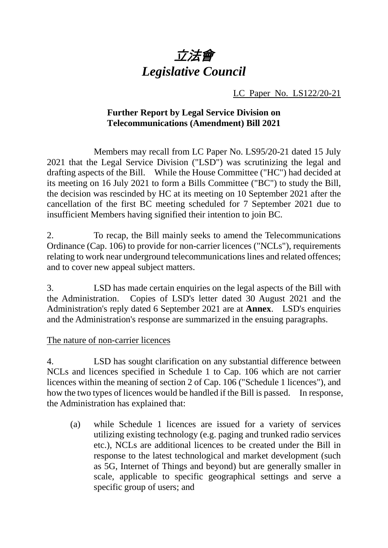

LC Paper No. LS122/20-21

# **Further Report by Legal Service Division on Telecommunications (Amendment) Bill 2021**

Members may recall from LC Paper No. LS95/20-21 dated 15 July 2021 that the Legal Service Division ("LSD") was scrutinizing the legal and drafting aspects of the Bill. While the House Committee ("HC") had decided at its meeting on 16 July 2021 to form a Bills Committee ("BC") to study the Bill, the decision was rescinded by HC at its meeting on 10 September 2021 after the cancellation of the first BC meeting scheduled for 7 September 2021 due to insufficient Members having signified their intention to join BC.

2. To recap, the Bill mainly seeks to amend the Telecommunications Ordinance (Cap. 106) to provide for non-carrier licences ("NCLs"), requirements relating to work near underground telecommunications lines and related offences; and to cover new appeal subject matters.

3. LSD has made certain enquiries on the legal aspects of the Bill with the Administration. Copies of LSD's letter dated 30 August 2021 and the Administration's reply dated 6 September 2021 are at **Annex**. LSD's enquiries and the Administration's response are summarized in the ensuing paragraphs.

# The nature of non-carrier licences

4. LSD has sought clarification on any substantial difference between NCLs and licences specified in Schedule 1 to Cap. 106 which are not carrier licences within the meaning of section 2 of Cap. 106 ("Schedule 1 licences"), and how the two types of licences would be handled if the Bill is passed. In response, the Administration has explained that:

(a) while Schedule 1 licences are issued for a variety of services utilizing existing technology (e.g. paging and trunked radio services etc.), NCLs are additional licences to be created under the Bill in response to the latest technological and market development (such as 5G, Internet of Things and beyond) but are generally smaller in scale, applicable to specific geographical settings and serve a specific group of users; and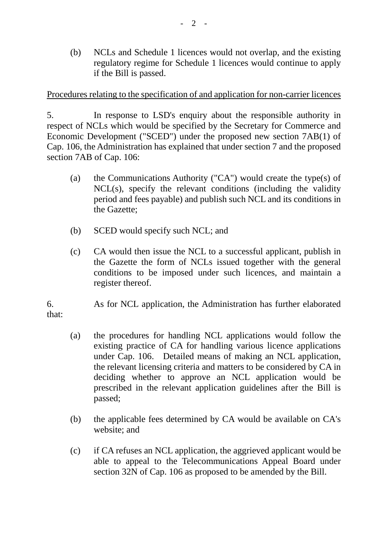(b) NCLs and Schedule 1 licences would not overlap, and the existing regulatory regime for Schedule 1 licences would continue to apply if the Bill is passed.

### Procedures relating to the specification of and application for non-carrier licences

5. In response to LSD's enquiry about the responsible authority in respect of NCLs which would be specified by the Secretary for Commerce and Economic Development ("SCED") under the proposed new section 7AB(1) of Cap. 106, the Administration has explained that under section 7 and the proposed section 7AB of Cap. 106:

- (a) the Communications Authority ("CA") would create the type(s) of NCL(s), specify the relevant conditions (including the validity period and fees payable) and publish such NCL and its conditions in the Gazette;
- (b) SCED would specify such NCL; and
- (c) CA would then issue the NCL to a successful applicant, publish in the Gazette the form of NCLs issued together with the general conditions to be imposed under such licences, and maintain a register thereof.

6. As for NCL application, the Administration has further elaborated that:

- (a) the procedures for handling NCL applications would follow the existing practice of CA for handling various licence applications under Cap. 106. Detailed means of making an NCL application, the relevant licensing criteria and matters to be considered by CA in deciding whether to approve an NCL application would be prescribed in the relevant application guidelines after the Bill is passed;
- (b) the applicable fees determined by CA would be available on CA's website; and
- (c) if CA refuses an NCL application, the aggrieved applicant would be able to appeal to the Telecommunications Appeal Board under section 32N of Cap. 106 as proposed to be amended by the Bill.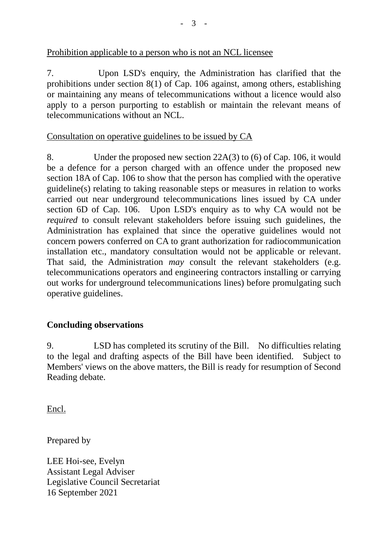## Prohibition applicable to a person who is not an NCL licensee

7. Upon LSD's enquiry, the Administration has clarified that the prohibitions under section 8(1) of Cap. 106 against, among others, establishing or maintaining any means of telecommunications without a licence would also apply to a person purporting to establish or maintain the relevant means of telecommunications without an NCL.

## Consultation on operative guidelines to be issued by CA

8. Under the proposed new section 22A(3) to (6) of Cap. 106, it would be a defence for a person charged with an offence under the proposed new section 18A of Cap. 106 to show that the person has complied with the operative guideline(s) relating to taking reasonable steps or measures in relation to works carried out near underground telecommunications lines issued by CA under section 6D of Cap. 106. Upon LSD's enquiry as to why CA would not be *required* to consult relevant stakeholders before issuing such guidelines, the Administration has explained that since the operative guidelines would not concern powers conferred on CA to grant authorization for radiocommunication installation etc., mandatory consultation would not be applicable or relevant. That said, the Administration *may* consult the relevant stakeholders (e.g. telecommunications operators and engineering contractors installing or carrying out works for underground telecommunications lines) before promulgating such operative guidelines.

# **Concluding observations**

9. LSD has completed its scrutiny of the Bill. No difficulties relating to the legal and drafting aspects of the Bill have been identified. Subject to Members' views on the above matters, the Bill is ready for resumption of Second Reading debate.

Encl.

Prepared by

LEE Hoi-see, Evelyn Assistant Legal Adviser Legislative Council Secretariat 16 September 2021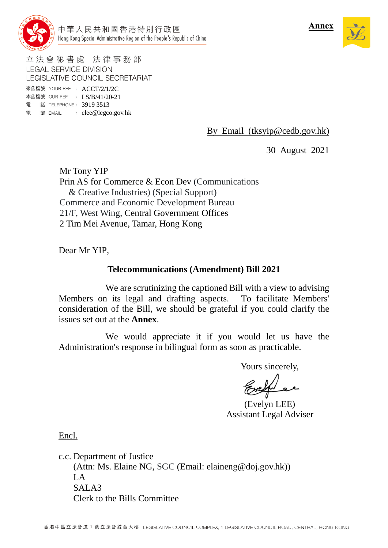



立法會秘書處 法律事務部 **LEGAL SERVICE DIVISION** LEGISLATIVE COUNCIL SECRETARIAT

來函檔號 YOUR REF : ACCT/2/1/2C 本函檔號 OUR REF : LS/B/41/20-21 電 話 TELEPHONE: 3919 3513 電 郵 EMAIL : elee@legco.gov.hk

By Email (tksyip@cedb.gov.hk)

30 August 2021

Mr Tony YIP Prin AS for Commerce & Econ Dev (Communications & Creative Industries) (Special Support) Commerce and Economic Development Bureau 21/F, West Wing, Central Government Offices 2 Tim Mei Avenue, Tamar, Hong Kong

Dear Mr YIP,

### **Telecommunications (Amendment) Bill 2021**

We are scrutinizing the captioned Bill with a view to advising Members on its legal and drafting aspects. To facilitate Members' consideration of the Bill, we should be grateful if you could clarify the issues set out at the **Annex**.

We would appreciate it if you would let us have the Administration's response in bilingual form as soon as practicable.

Yours sincerely,

(Evelyn LEE) Assistant Legal Adviser

Encl.

c.c. Department of Justice (Attn: Ms. Elaine NG, SGC (Email: elaineng@doj.gov.hk))  $L_A$ SALA3 Clerk to the Bills Committee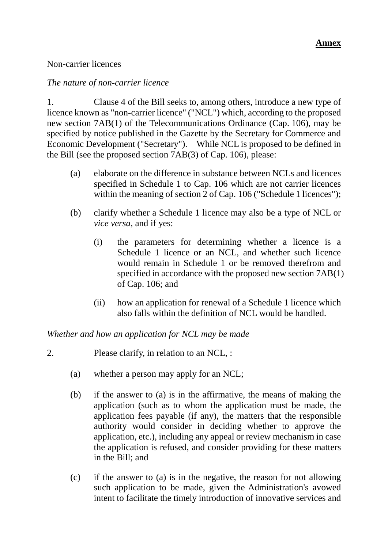### Non-carrier licences

### *The nature of non-carrier licence*

1. Clause 4 of the Bill seeks to, among others, introduce a new type of licence known as "non-carrier licence" ("NCL") which, according to the proposed new section 7AB(1) of the Telecommunications Ordinance (Cap. 106), may be specified by notice published in the Gazette by the Secretary for Commerce and Economic Development ("Secretary"). While NCL is proposed to be defined in the Bill (see the proposed section 7AB(3) of Cap. 106), please:

- (a) elaborate on the difference in substance between NCLs and licences specified in Schedule 1 to Cap. 106 which are not carrier licences within the meaning of section 2 of Cap. 106 ("Schedule 1 licences");
- (b) clarify whether a Schedule 1 licence may also be a type of NCL or *vice versa*, and if yes:
	- (i) the parameters for determining whether a licence is a Schedule 1 licence or an NCL, and whether such licence would remain in Schedule 1 or be removed therefrom and specified in accordance with the proposed new section 7AB(1) of Cap. 106; and
	- (ii) how an application for renewal of a Schedule 1 licence which also falls within the definition of NCL would be handled.

*Whether and how an application for NCL may be made*

- 2. Please clarify, in relation to an NCL, :
	- (a) whether a person may apply for an NCL;
	- (b) if the answer to (a) is in the affirmative, the means of making the application (such as to whom the application must be made, the application fees payable (if any), the matters that the responsible authority would consider in deciding whether to approve the application, etc.), including any appeal or review mechanism in case the application is refused, and consider providing for these matters in the Bill; and
	- (c) if the answer to (a) is in the negative, the reason for not allowing such application to be made, given the Administration's avowed intent to facilitate the timely introduction of innovative services and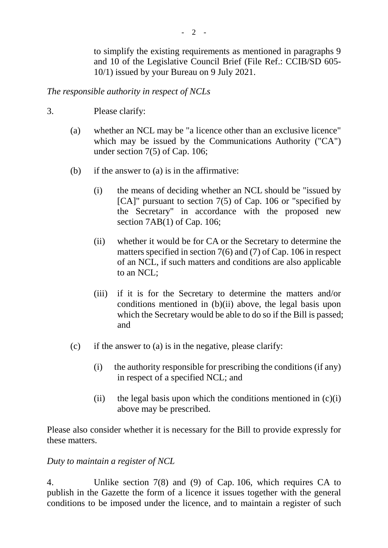to simplify the existing requirements as mentioned in paragraphs 9 and 10 of the Legislative Council Brief (File Ref.: CCIB/SD 605- 10/1) issued by your Bureau on 9 July 2021.

*The responsible authority in respect of NCLs*

- 3. Please clarify:
	- (a) whether an NCL may be "a licence other than an exclusive licence" which may be issued by the Communications Authority ("CA") under section 7(5) of Cap. 106;
	- (b) if the answer to (a) is in the affirmative:
		- (i) the means of deciding whether an NCL should be "issued by [CA]" pursuant to section 7(5) of Cap. 106 or "specified by the Secretary" in accordance with the proposed new section 7AB(1) of Cap. 106;
		- (ii) whether it would be for CA or the Secretary to determine the matters specified in section 7(6) and (7) of Cap. 106 in respect of an NCL, if such matters and conditions are also applicable to an NCL;
		- (iii) if it is for the Secretary to determine the matters and/or conditions mentioned in (b)(ii) above, the legal basis upon which the Secretary would be able to do so if the Bill is passed; and
	- (c) if the answer to (a) is in the negative, please clarify:
		- (i) the authority responsible for prescribing the conditions (if any) in respect of a specified NCL; and
		- (ii) the legal basis upon which the conditions mentioned in  $(c)(i)$ above may be prescribed.

Please also consider whether it is necessary for the Bill to provide expressly for these matters.

### *Duty to maintain a register of NCL*

4. Unlike section 7(8) and (9) of Cap. 106, which requires CA to publish in the Gazette the form of a licence it issues together with the general conditions to be imposed under the licence, and to maintain a register of such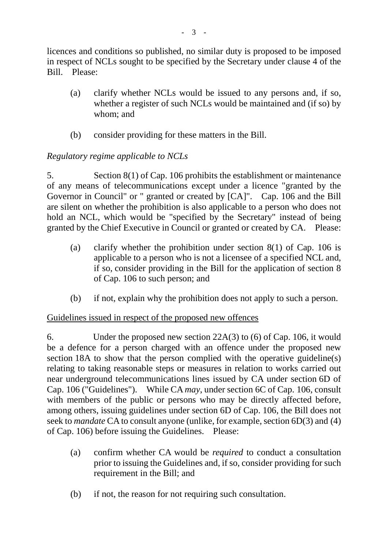licences and conditions so published, no similar duty is proposed to be imposed in respect of NCLs sought to be specified by the Secretary under clause 4 of the Bill. Please:

- (a) clarify whether NCLs would be issued to any persons and, if so, whether a register of such NCLs would be maintained and (if so) by whom; and
- (b) consider providing for these matters in the Bill.

# *Regulatory regime applicable to NCLs*

5. Section 8(1) of Cap. 106 prohibits the establishment or maintenance of any means of telecommunications except under a licence "granted by the Governor in Council" or " granted or created by [CA]". Cap. 106 and the Bill are silent on whether the prohibition is also applicable to a person who does not hold an NCL, which would be "specified by the Secretary" instead of being granted by the Chief Executive in Council or granted or created by CA. Please:

- (a) clarify whether the prohibition under section 8(1) of Cap. 106 is applicable to a person who is not a licensee of a specified NCL and, if so, consider providing in the Bill for the application of section 8 of Cap. 106 to such person; and
- (b) if not, explain why the prohibition does not apply to such a person.

# Guidelines issued in respect of the proposed new offences

6. Under the proposed new section 22A(3) to (6) of Cap. 106, it would be a defence for a person charged with an offence under the proposed new section 18A to show that the person complied with the operative guideline(s) relating to taking reasonable steps or measures in relation to works carried out near underground telecommunications lines issued by CA under section 6D of Cap. 106 ("Guidelines"). While CA *may*, under section 6C of Cap. 106, consult with members of the public or persons who may be directly affected before, among others, issuing guidelines under section 6D of Cap. 106, the Bill does not seek to *mandate* CA to consult anyone (unlike, for example, section 6D(3) and (4) of Cap. 106) before issuing the Guidelines. Please:

- (a) confirm whether CA would be *required* to conduct a consultation prior to issuing the Guidelines and, if so, consider providing for such requirement in the Bill; and
- (b) if not, the reason for not requiring such consultation.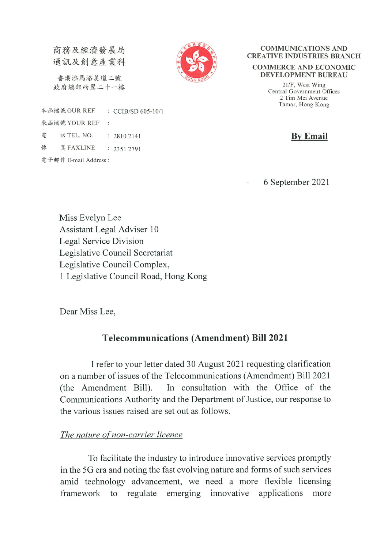商務及經濟發展局 通訊及創意產業科

香港添馬添美道二號 政府總部西翼二十一樓



#### **COMMUNICATIONS AND CREATIVE INDUSTRIES BRANCH**

#### **COMMERCE AND ECONOMIC DEVELOPMENT BUREAU**

21/F, West Wing Central Government Offices 2 Tim Mei Avenue Tamar, Hong Kong

**By Email** 

6 September 2021

Miss Evelyn Lee Assistant Legal Adviser 10 Legal Service Division Legislative Council Secretariat Legislative Council Complex, 1 Legislative Council Road, Hong Kong

Dear Miss Lee,

# **Telecommunications (Amendment) Bill 2021**

I refer to your letter dated 30 August 2021 requesting clarification on a number of issues of the Telecommunications (Amendment) Bill 2021 In consultation with the Office of the (the Amendment Bill). Communications Authority and the Department of Justice, our response to the various issues raised are set out as follows.

### The nature of non-carrier licence

To facilitate the industry to introduce innovative services promptly in the 5G era and noting the fast evolving nature and forms of such services amid technology advancement, we need a more flexible licensing framework to regulate emerging innovative applications more

本函檔號 OUR REF : CCIB/SD 605-10/1 來函檔號 YOUR REF  $\mathcal{L}$ 雷 話 TEL. NO.  $: 28102141$ 傳 真 FAXLINE  $: 23512791$ 電子郵件 E-mail Address: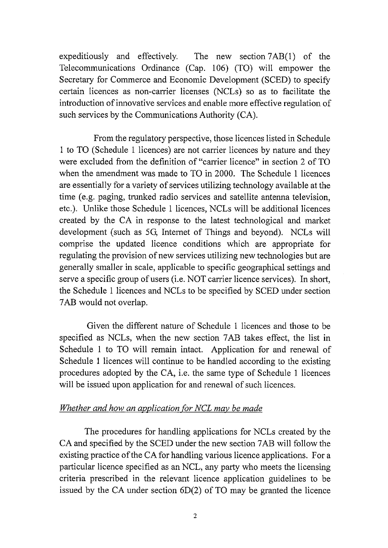expeditiously and effectively. The new section 7AB(1) of the Telecommunications Ordinance (Cap. 106) (TO) will empower the Secretary for Commerce and Economic Development (SCED) to specify certain licences as non-carrier licenses (NCLs) so as to facilitate the introduction of innovative services and enable more effective regulation of such services by the Communications Authority (CA).

From the regulatory perspective, those licences listed in Schedule 1 to TO (Schedule 1 licences) are not carrier licences by nature and they were excluded from the definition of "carrier licence" in section 2 of TO when the amendment was made to TO in 2000. The Schedule 1 licences are essentially for a variety of services utilizing technology available at the time (e.g. paging, trunked radio services and satellite antenna television, etc.). Unlike those Schedule 1 licences, NCLs will be additional licences created by the CA in response to the latest technological and market development (such as 5G, Internet of Things and beyond). NCLs will comprise the updated licence conditions which are appropriate for regulating the provision of new services utilizing new technologies but are generally smaller in scale, applicable to specific geographical settings and serve a specific group of users (i.e. NOT carrier licence services). In short, the Schedule 1 licences and NCLs to be specified by SCED under section 7AB would not overlap.

Given the different nature of Schedule 1 licences and those to be specified as NCLs, when the new section 7AB takes effect, the list in Schedule 1 to TO will remain intact. Application for and renewal of Schedule 1 licences will continue to be handled according to the existing procedures adopted by the CA, i.e. the same type of Schedule 1 licences will be issued upon application for and renewal of such licences.

#### Whether and how an application for NCL may be made

The procedures for handling applications for NCLs created by the CA and specified by the SCED under the new section 7AB will follow the existing practice of the CA for handling various licence applications. For a particular licence specified as an NCL, any party who meets the licensing criteria prescribed in the relevant licence application guidelines to be issued by the CA under section  $6D(2)$  of TO may be granted the licence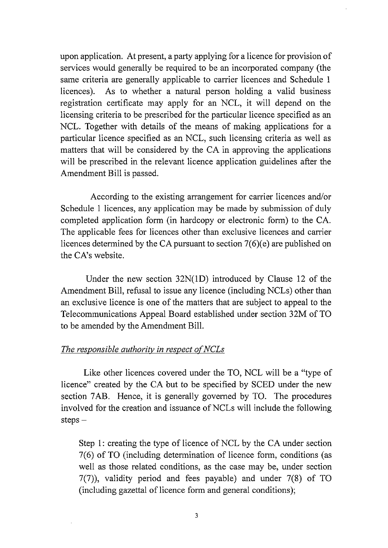upon application. At present, a party applying for a licence for provision of services would generally be required to be an incorporated company (the same criteria are generally applicable to carrier licences and Schedule 1 As to whether a natural person holding a valid business licences). registration certificate may apply for an NCL, it will depend on the licensing criteria to be prescribed for the particular licence specified as an NCL. Together with details of the means of making applications for a particular licence specified as an NCL, such licensing criteria as well as matters that will be considered by the CA in approving the applications will be prescribed in the relevant licence application guidelines after the Amendment Bill is passed.

According to the existing arrangement for carrier licences and/or Schedule 1 licences, any application may be made by submission of duly completed application form (in hardcopy or electronic form) to the CA. The applicable fees for licences other than exclusive licences and carrier licences determined by the CA pursuant to section  $7(6)$ (e) are published on the CA's website.

Under the new section  $32N(1D)$  introduced by Clause 12 of the Amendment Bill, refusal to issue any licence (including NCLs) other than an exclusive licence is one of the matters that are subject to appeal to the Telecommunications Appeal Board established under section 32M of TO to be amended by the Amendment Bill.

#### The responsible authority in respect of NCLs

Like other licences covered under the TO, NCL will be a "type of licence" created by the CA but to be specified by SCED under the new section 7AB. Hence, it is generally governed by TO. The procedures involved for the creation and issuance of NCLs will include the following  $steps -$ 

Step 1: creating the type of licence of NCL by the CA under section 7(6) of TO (including determination of licence form, conditions (as well as those related conditions, as the case may be, under section  $7(7)$ ), validity period and fees payable) and under  $7(8)$  of TO (including gazettal of licence form and general conditions);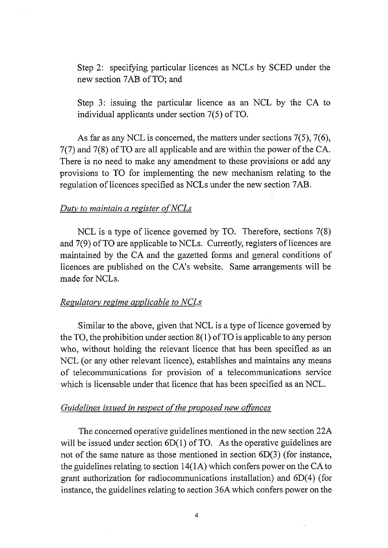Step 2: specifying particular licences as NCLs by SCED under the new section 7AB of TO; and

Step 3: issuing the particular licence as an NCL by the CA to individual applicants under section  $7(5)$  of TO.

As far as any NCL is concerned, the matters under sections  $7(5)$ ,  $7(6)$ ,  $7(7)$  and  $7(8)$  of TO are all applicable and are within the power of the CA. There is no need to make any amendment to these provisions or add any provisions to TO for implementing the new mechanism relating to the regulation of licences specified as NCLs under the new section 7AB.

#### Duty to maintain a register of NCLs

NCL is a type of licence governed by TO. Therefore, sections  $7(8)$ and 7(9) of TO are applicable to NCLs. Currently, registers of licences are maintained by the CA and the gazetted forms and general conditions of licences are published on the CA's website. Same arrangements will be made for NCLs.

#### Regulatory regime applicable to NCLs

Similar to the above, given that NCL is a type of licence governed by the TO, the prohibition under section  $8(1)$  of TO is applicable to any person who, without holding the relevant licence that has been specified as an NCL (or any other relevant licence), establishes and maintains any means of telecommunications for provision of a telecommunications service which is licensable under that licence that has been specified as an NCL.

# Guidelines issued in respect of the proposed new offences

The concerned operative guidelines mentioned in the new section 22A will be issued under section  $6D(1)$  of TO. As the operative guidelines are not of the same nature as those mentioned in section  $6D(3)$  (for instance, the guidelines relating to section  $14(1A)$  which confers power on the CA to grant authorization for radiocommunications installation) and  $6D(4)$  (for instance, the guidelines relating to section 36A which confers power on the